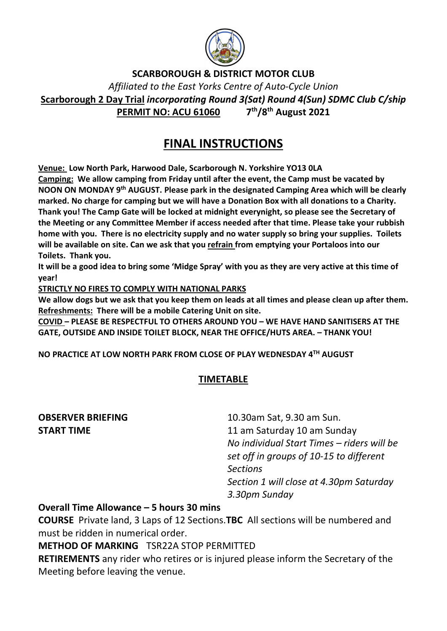

SCARBOROUGH & DISTRICT MOTOR CLUB

Affiliated to the East Yorks Centre of Auto-Cycle Union Scarborough 2 Day Trial incorporating Round 3(Sat) Round 4(Sun) SDMC Club C/ship PERMIT NO: ACU 61060 7<sup>th</sup>/8<sup>th</sup> August 2021

## FINAL INSTRUCTIONS

Venue: Low North Park, Harwood Dale, Scarborough N. Yorkshire YO13 0LA

Camping: We allow camping from Friday until after the event, the Camp must be vacated by NOON ON MONDAY 9th AUGUST. Please park in the designated Camping Area which will be clearly marked. No charge for camping but we will have a Donation Box with all donations to a Charity. Thank you! The Camp Gate will be locked at midnight everynight, so please see the Secretary of the Meeting or any Committee Member if access needed after that time. Please take your rubbish home with you. There is no electricity supply and no water supply so bring your supplies. Toilets will be available on site. Can we ask that you refrain from emptying your Portaloos into our Toilets. Thank you.

It will be a good idea to bring some 'Midge Spray' with you as they are very active at this time of year!

STRICTLY NO FIRES TO COMPLY WITH NATIONAL PARKS

We allow dogs but we ask that you keep them on leads at all times and please clean up after them. Refreshments: There will be a mobile Catering Unit on site.

COVID – PLEASE BE RESPECTFUL TO OTHERS AROUND YOU – WE HAVE HAND SANITISERS AT THE GATE, OUTSIDE AND INSIDE TOILET BLOCK, NEAR THE OFFICE/HUTS AREA. – THANK YOU!

NO PRACTICE AT LOW NORTH PARK FROM CLOSE OF PLAY WEDNESDAY 4TH AUGUST

### TIMETABLE

**OBSERVER BRIEFING** 10.30am Sat, 9.30 am Sun. **START TIME** 11 am Saturday 10 am Sunday No individual Start Times – riders will be set off in groups of 10-15 to different Sections Section 1 will close at 4.30pm Saturday 3.30pm Sunday

#### Overall Time Allowance – 5 hours 30 mins

COURSE Private land, 3 Laps of 12 Sections.TBC All sections will be numbered and must be ridden in numerical order.

METHOD OF MARKING TSR22A STOP PERMITTED

RETIREMENTS any rider who retires or is injured please inform the Secretary of the Meeting before leaving the venue.